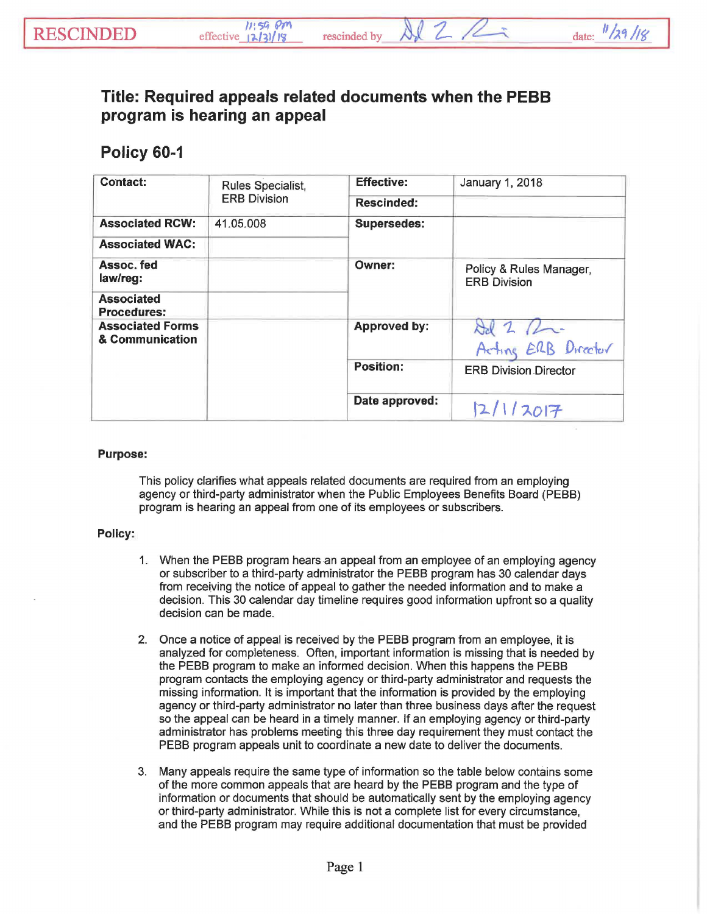## **Title: Required appeals related documents when the PEBB program is hearing an appeal**

## **Policy 60-1**

| <b>Contact:</b>                            | Rules Specialist,<br><b>ERB Division</b> | <b>Effective:</b>   | January 1, 2018                                |
|--------------------------------------------|------------------------------------------|---------------------|------------------------------------------------|
|                                            |                                          | <b>Rescinded:</b>   |                                                |
| <b>Associated RCW:</b>                     | 41.05.008                                | <b>Supersedes:</b>  |                                                |
| <b>Associated WAC:</b>                     |                                          |                     |                                                |
| Assoc, fed<br>law/reg:                     |                                          | Owner:              | Policy & Rules Manager,<br><b>ERB Division</b> |
| <b>Associated</b><br><b>Procedures:</b>    |                                          |                     |                                                |
| <b>Associated Forms</b><br>& Communication |                                          | <b>Approved by:</b> | Ad 2 Pm-<br>Acting ERB Director                |
|                                            |                                          | <b>Position:</b>    | <b>ERB Division Director</b>                   |
|                                            |                                          | Date approved:      | 12/1/2017                                      |

## Purpose:

This policy clarifies what appeals related documents are required from an employing agency or third-party administrator when the Public Employees Benefits Board (PEBB) program is hearing an appeal from one of its employees or subscribers.

## Policy:

- 1. When the PEBB program hears an appeal from an employee of an employing agency or subscriber to a third-party administrator the PEBB program has 30 calendar days from receiving the notice of appeal to gather the needed information and to make a decision. This 30 calendar day timeline requires good information upfront so a quality decision can be made.
- 2. Once a notice of appeal is received by the PEBB program from an employee, it is analyzed for completeness. Often, important information is missing that is needed by the PEBB program to make an informed decision. When this happens the PEBB program contacts the employing agency or third-party administrator and requests the missing information. It is important that the information is provided by the employing agency or third-party administrator no later than three business days after the request so the appeal can be heard in a timely manner. If an employing agency or third-party administrator has problems meeting this three day requirement they must contact the PEBB program appeals unit to coordinate a new date to deliver the documents.
- 3. Many appeals require the same type of information so the table below contains some of the more common appeals that are heard by the PEBB program and the type of information or documents that should be automatically sent by the employing agency or third-party administrator. While this is not a complete list for every circumstance, and the PEBB prograni may require additional documentation that must be provided